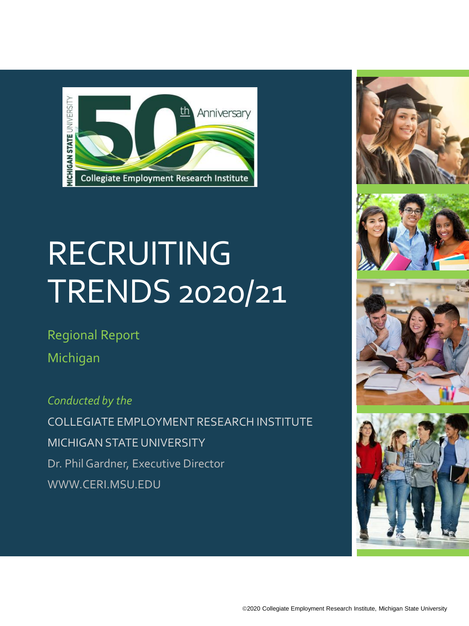

# **RECRUITING** TRENDS 2020/21

Regional Report Michigan

*Conducted by the* COLLEGIATE EMPLOYMENT RESEARCH INSTITUTE MICHIGAN STATE UNIVERSITY Dr. Phil Gardner, Executive Director WWW.CERI.MSU.EDU







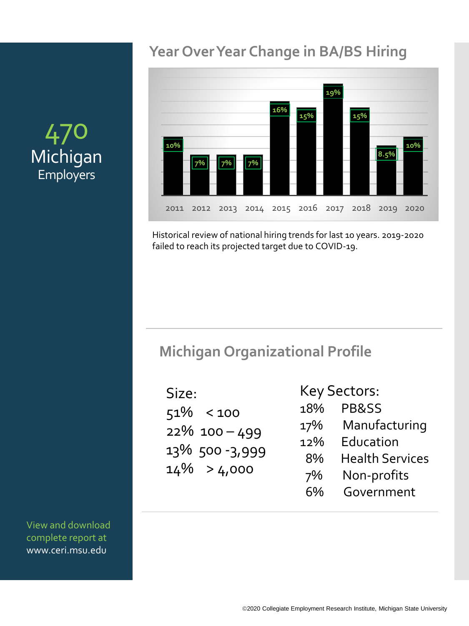#### **Year Over Year Change in BA/BS Hiring**



Historical review of national hiring trends for last 10 years. 2019-2020 failed to reach its projected target due to COVID-19.

#### **Michigan Organizational Profile**

| Size: |                |
|-------|----------------|
|       | $51\% < 100$   |
|       | 22% 100-499    |
|       | 13% 500-3,999  |
|       | $14\% > 4,000$ |

Key Sectors: 18% PB&SS 17% Manufacturing 12% Education 8% Health Services 7% Non-profits

6% Government

# 470 Michigan Employers

View and download complete report at www.ceri.msu.edu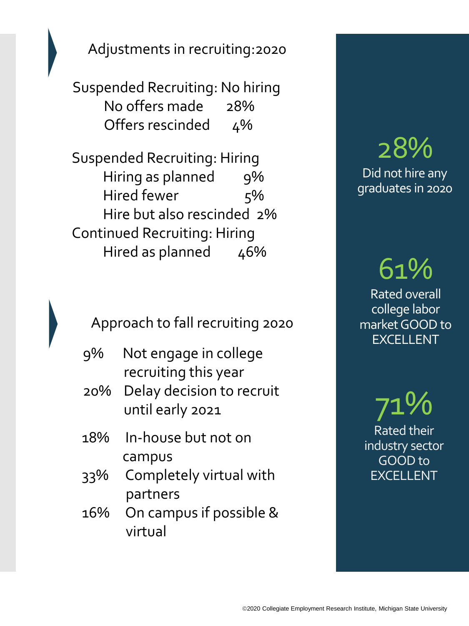Adjustments in recruiting:2020

Suspended Recruiting: No hiring No offers made 28% Offers rescinded 4%

Suspended Recruiting: Hiring Hiring as planned 9% Hired fewer 5% Hire but also rescinded 2% Continued Recruiting: Hiring Hired as planned 46%

Approach to fall recruiting 2020

- 9% Not engage in college recruiting this year
- 20% Delay decision to recruit until early 2021
- 18% In-house but not on campus
- 33% Completely virtual with partners
- 16% On campus if possible & virtual

## 28% Did not hire any graduates in 2020

61% Rated overall college labor market GOOD to EXCELLENT

71% Rated their industry sector GOOD to EXCELLENT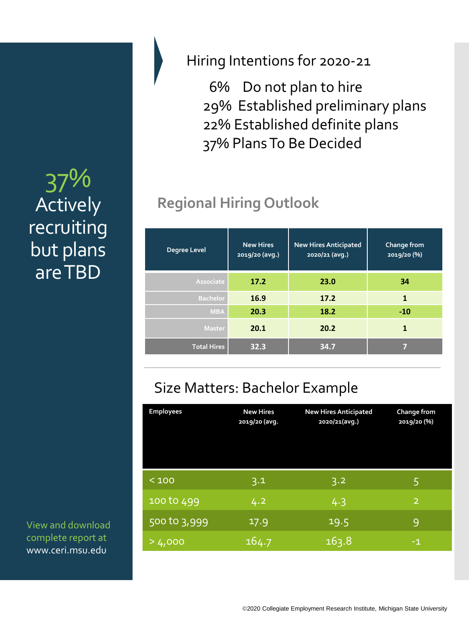# 37% Actively recruiting but plans are TBD

View and download complete report at www.ceri.msu.edu

#### Hiring Intentions for 2020-21

6% Do not plan to hire 29% Established preliminary plans 22% Established definite plans 37% Plans To Be Decided

# **Regional Hiring Outlook**

| <b>Degree Level</b> | <b>New Hires</b><br>2019/20 (avg.) | <b>New Hires Anticipated</b><br>2020/21 (avg.) | Change from<br>2019/20 (%) |
|---------------------|------------------------------------|------------------------------------------------|----------------------------|
| Associate           | 17.2                               | 23.0                                           | 34                         |
| <b>Bachelor</b>     | 16.9                               | 17.2                                           | $\mathbf{1}$               |
| <b>MBA</b>          | 20.3                               | 18.2                                           | $-10$                      |
| <b>Master</b>       | 20.1                               | 20.2                                           | 1                          |
| <b>Total Hires</b>  | 32.3                               | 34.7                                           |                            |

# Size Matters: Bachelor Example

| <b>Employees</b> | <b>New Hires</b><br>2019/20 (avg. | <b>New Hires Anticipated</b><br>2020/21(avg.) | Change from<br>2019/20 (%) |
|------------------|-----------------------------------|-----------------------------------------------|----------------------------|
| < 100            | 3.1                               | 3.2                                           | 5                          |
| 100 to 499       | 4.2                               | 4.3                                           | $\overline{2}$             |
| 500 to 3,999     | 17.9                              | 19.5                                          | 9                          |
| >4,000           | 164.7                             | 163.8                                         | $-1$                       |